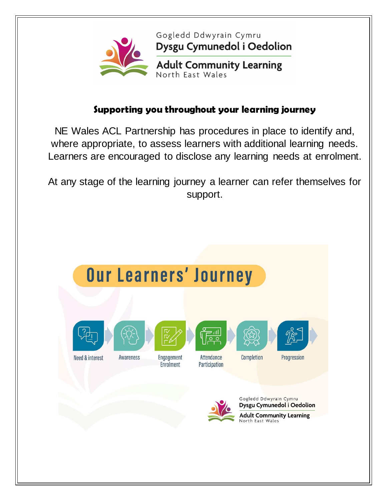

Gogledd Ddwyrain Cymru Dysgu Cymunedol i Oedolion

**Adult Community Learning**<br>North East Wales

### **Supporting you throughout your learning journey**

NE Wales ACL Partnership has procedures in place to identify and, where appropriate, to assess learners with additional learning needs. Learners are encouraged to disclose any learning needs at enrolment.

At any stage of the learning journey a learner can refer themselves for support.

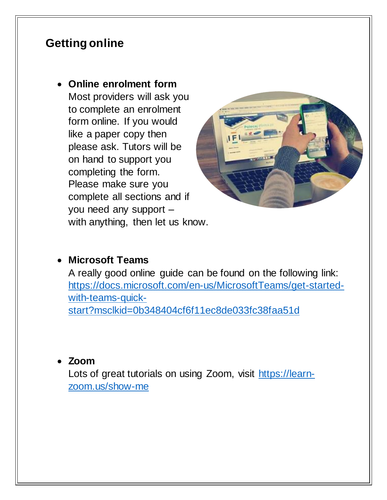# **Getting online**

 **Online enrolment form** Most providers will ask you to complete an enrolment form online. If you would like a paper copy then please ask. Tutors will be on hand to support you completing the form.

Please make sure you complete all sections and if you need any support – with anything, then let us know.



#### **Microsoft Teams**

A really good online guide can be found on the following link: [https://docs.microsoft.com/en-us/MicrosoftTeams/get-started](https://docs.microsoft.com/en-us/MicrosoftTeams/get-started-with-teams-quick-start?msclkid=0b348404cf6f11ec8de033fc38faa51d)[with-teams-quick](https://docs.microsoft.com/en-us/MicrosoftTeams/get-started-with-teams-quick-start?msclkid=0b348404cf6f11ec8de033fc38faa51d)[start?msclkid=0b348404cf6f11ec8de033fc38faa51d](https://docs.microsoft.com/en-us/MicrosoftTeams/get-started-with-teams-quick-start?msclkid=0b348404cf6f11ec8de033fc38faa51d)

#### **Zoom**

Lots of great tutorials on using Zoom, visit [https://learn](https://learn-zoom.us/show-me)[zoom.us/show-me](https://learn-zoom.us/show-me)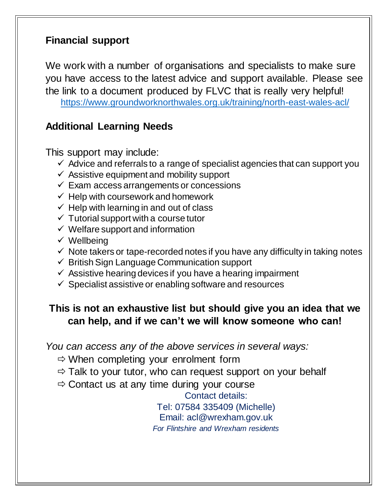# **Financial support**

We work with a number of organisations and specialists to make sure you have access to the latest advice and support available. Please see the link to a document produced by FLVC that is really very helpful! [https://www.groundworknorthwales.org.uk/training/north-east-wales-acl](https://www.groundworknorthwales.org.uk/training/north-east-wales-acl/)/

## **Additional Learning Needs**

This support may include:

- $\checkmark$  Advice and referrals to a range of specialist agencies that can support you
- $\checkmark$  Assistive equipment and mobility support
- $\checkmark$  Exam access arrangements or concessions
- $\checkmark$  Help with coursework and homework
- $\checkmark$  Help with learning in and out of class
- $\checkmark$  Tutorial support with a course tutor
- $\checkmark$  Welfare support and information
- $\checkmark$  Wellbeing
- $\checkmark$  Note takers or tape-recorded notes if you have any difficulty in taking notes
- $\checkmark$  British Sign Language Communication support
- $\checkmark$  Assistive hearing devices if you have a hearing impairment
- $\checkmark$  Specialist assistive or enabling software and resources

# **This is not an exhaustive list but should give you an idea that we can help, and if we can't we will know someone who can!**

*You can access any of the above services in several ways:*

- $\Rightarrow$  When completing your enrolment form
- $\Rightarrow$  Talk to your tutor, who can request support on your behalf
- $\Rightarrow$  Contact us at any time during your course

Contact details:

Tel: 07584 335409 (Michelle) Email: acl@wrexham.gov.uk *For Flintshire and Wrexham residents*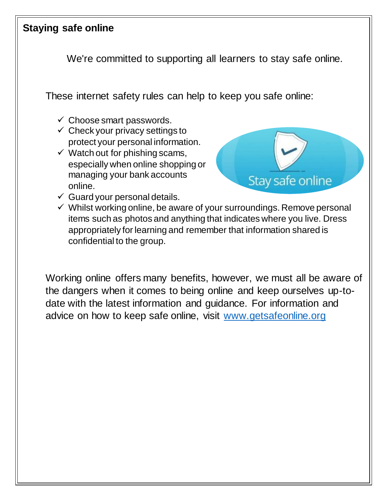# **Staying safe online**

We're committed to supporting all learners to stay safe online.

These internet safety rules can help to keep you safe online:

- $\checkmark$  Choose smart passwords.
- $\checkmark$  Check your privacy settings to protect your personal information.
- $\checkmark$  Watch out for phishing scams, especially when online shopping or managing your bank accounts online.



- $\checkmark$  Guard your personal details.
- $\checkmark$  Whilst working online, be aware of your surroundings. Remove personal items such as photos and anything that indicates where you live. Dress appropriately for learning and remember that information shared is confidential to the group.

Working online offers many benefits, however, we must all be aware of the dangers when it comes to being online and keep ourselves up-todate with the latest information and guidance. For information and advice on how to keep safe online, visit [www.getsafeonline.org](http://www.getsafeonline.org/)